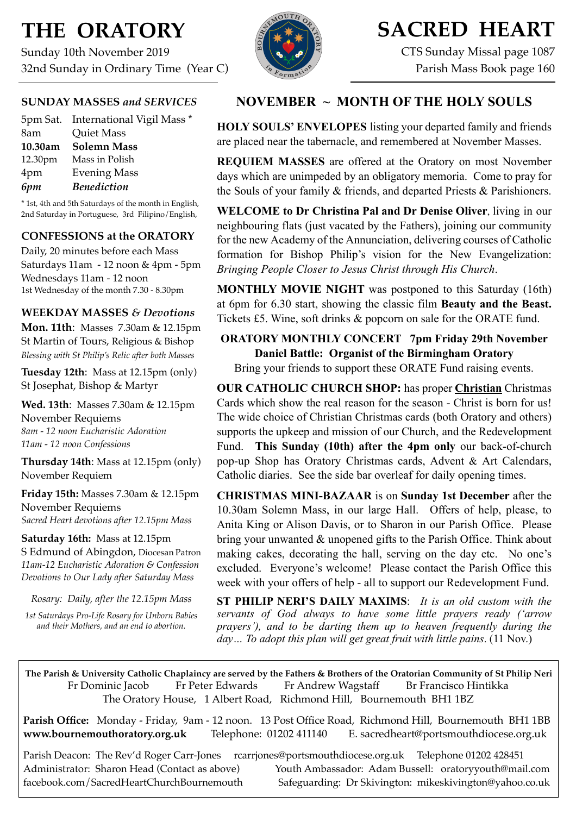# **THE ORATORY**

Sunday 10th November 2019 32nd Sunday in Ordinary Time (Year C)

## **SUNDAY MASSES** *and SERVICES*

|         | 5pm Sat. International Vigil Mass * |
|---------|-------------------------------------|
| 8am     | <b>Quiet Mass</b>                   |
| 10.30am | <b>Solemn Mass</b>                  |
| 12.30pm | Mass in Polish                      |
| 4pm     | <b>Evening Mass</b>                 |
| 6pm     | <b>Benediction</b>                  |

\* 1st, 4th and 5th Saturdays of the month in English, 2nd Saturday in Portuguese, 3rd Filipino/English,

### **CONFESSIONS at the ORATORY**

Daily, 20 minutes before each Mass Saturdays 11am - 12 noon & 4pm - 5pm Wednesdays 11am - 12 noon 1st Wednesday of the month 7.30 - 8.30pm

### **WEEKDAY MASSES** *& Devotions*

**Mon. 11th**: Masses 7.30am & 12.15pm St Martin of Tours, Religious & Bishop *Blessing with St Philip's Relic after both Masses*

**Tuesday 12th**: Mass at 12.15pm (only) St Josephat, Bishop & Martyr

**Wed. 13th**: Masses 7.30am & 12.15pm November Requiems *8am - 12 noon Eucharistic Adoration 11am - 12 noon Confessions*

**Thursday 14th**: Mass at 12.15pm (only) November Requiem

**Friday 15th:** Masses 7.30am & 12.15pm November Requiems *Sacred Heart devotions after 12.15pm Mass*

**Saturday 16th:** Mass at 12.15pm S Edmund of Abingdon, Diocesan Patron *11am-12 Eucharistic Adoration & Confession Devotions to Our Lady after Saturday Mass*

*Rosary: Daily, after the 12.15pm Mass 1st Saturdays Pro-Life Rosary for Unborn Babies and their Mothers, and an end to abortion.*



# **SACRED HEART**

CTS Sunday Missal page 1087 Parish Mass Book page 160

# **NOVEMBER ~ MONTH OF THE HOLY SOULS**

**HOLY SOULS' ENVELOPES** listing your departed family and friends are placed near the tabernacle, and remembered at November Masses.

**REQUIEM MASSES** are offered at the Oratory on most November days which are unimpeded by an obligatory memoria. Come to pray for the Souls of your family & friends, and departed Priests & Parishioners.

**WELCOME to Dr Christina Pal and Dr Denise Oliver**, living in our neighbouring flats (just vacated by the Fathers), joining our community for the new Academy of the Annunciation, delivering courses of Catholic formation for Bishop Philip's vision for the New Evangelization: *Bringing People Closer to Jesus Christ through His Church*.

**MONTHLY MOVIE NIGHT** was postponed to this Saturday (16th) at 6pm for 6.30 start, showing the classic film **Beauty and the Beast.** Tickets £5. Wine, soft drinks & popcorn on sale for the ORATE fund.

# **ORATORY MONTHLY CONCERT 7pm Friday 29th November Daniel Battle: Organist of the Birmingham Oratory**

Bring your friends to support these ORATE Fund raising events.

**OUR CATHOLIC CHURCH SHOP:** has proper **Christian** Christmas Cards which show the real reason for the season - Christ is born for us! The wide choice of Christian Christmas cards (both Oratory and others) supports the upkeep and mission of our Church, and the Redevelopment Fund. **This Sunday (10th) after the 4pm only** our back-of-church pop-up Shop has Oratory Christmas cards, Advent & Art Calendars, Catholic diaries. See the side bar overleaf for daily opening times.

**CHRISTMAS MINI-BAZAAR** is on **Sunday 1st December** after the 10.30am Solemn Mass, in our large Hall. Offers of help, please, to Anita King or Alison Davis, or to Sharon in our Parish Office. Please bring your unwanted & unopened gifts to the Parish Office. Think about making cakes, decorating the hall, serving on the day etc. No one's excluded. Everyone's welcome! Please contact the Parish Office this week with your offers of help - all to support our Redevelopment Fund.

**ST PHILIP NERI'S DAILY MAXIMS**: *It is an old custom with the servants of God always to have some little prayers ready ('arrow prayers'), and to be darting them up to heaven frequently during the day… To adopt this plan will get great fruit with little pains*. (11 Nov.)

**The Parish & University Catholic Chaplaincy are served by the Fathers & Brothers of the Oratorian Community of St Philip Neri**  Fr Dominic Jacob Fr Peter Edwards Fr Andrew Wagstaff Br Francisco Hintikka The Oratory House, 1 Albert Road, Richmond Hill, Bournemouth BH1 1BZ

**Parish Office:** Monday - Friday, 9am - 12 noon. 13 Post Office Road, Richmond Hill, Bournemouth BH1 1BB **[www.bournemouthoratory.org.uk](http://www.bournemoithoratory.org.uk)** Telephone: 01202 411140 E. [sacredheart@portsmouthdiocese.org.uk](mailto:sacredheart@portsmouthdiocese.org.uk)

Parish Deacon: The Rev'd Roger Carr-Jones [rcarrjones@portsmouthdiocese.org.uk](mailto:rcarrjones@portsmouthdiocese.org.uk) Telephone 01202 428451 Administrator: Sharon Head (Contact as above) Youth Ambassador: Adam Bussell: [oratoryyouth@mail.com](http://oratoryyouth.mail.com) [facebook.com/SacredHeartChurchBournemouth](http://facebook.com/SaccredHeartChurchBournemouth) Safeguarding: Dr Skivington: mikeskivington@yahoo.co.uk